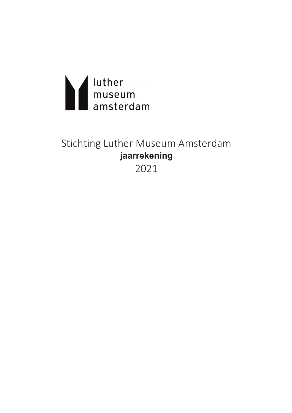

# Stichting Luther Museum Amsterdam jaarrekening

2021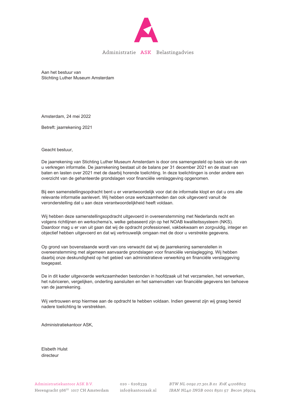

Administratie ASK Belastingadvies

Aan het bestuur van Stichting Luther Museum Amsterdam

Amsterdam, 24 mei 2022

Betreft: jaarrekening 2021

Geacht bestuur,

De jaarrekening van Stichting Luther Museum Amsterdam is door ons samengesteld op basis van de van u verkregen informatie. De jaarrekening bestaat uit de balans per 31 december 2021 en de staat van baten en lasten over 2021 met de daarbij horende toelichting. In deze toelichtingen is onder andere een overzicht van de gehanteerde grondslagen voor financiële verslaggeving opgenomen.

Bij een samenstellingsopdracht bent u er verantwoordelijk voor dat de informatie klopt en dat u ons alle relevante informatie aanlevert. Wij hebben onze werkzaamheden dan ook uitgevoerd vanuit de veronderstelling dat u aan deze verantwoordelijkheid heeft voldaan.

Wij hebben deze samenstellingsopdracht uitgevoerd in overeenstemming met Nederlands recht en volgens richtlijnen en werkschema's, welke gebaseerd zijn op het NOAB kwaliteitssysteem (NKS). Daardoor mag u er van uit gaan dat wij de opdracht professioneel, vakbekwaam en zorgvuldig, integer en objectief hebben uitgevoerd en dat wij vertrouwelijk omgaan met de door u verstrekte gegevens.

Op grond van bovenstaande wordt van ons verwacht dat wij de jaarrekening samenstellen in overeenstemming met algemeen aanvaarde grondslagen voor financiële verslaglegging. Wij hebben daarbij onze deskundigheid op het gebied van administratieve verwerking en financiële verslaggeving toegepast.

De in dit kader uitgevoerde werkzaamheden bestonden in hoofdzaak uit het verzamelen, het verwerken, het rubriceren, vergelijken, onderling aansluiten en het samenvatten van financiële gegevens ten behoeve van de jaarrekening.

Wij vertrouwen erop hiermee aan de opdracht te hebben voldaan. Indien gewenst zijn wij graag bereid nadere toelichting te verstrekken.

Administratiekantoor ASK,

Elsbeth Hulst directeur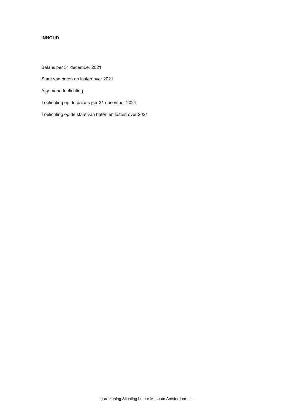## **INHOUD**

Balans per 31 december 2021

Staat van baten en lasten over 2021

Algemene toelichting

Toelichting op de balans per 31 december 2021

Toelichting op de staat van baten en lasten over 2021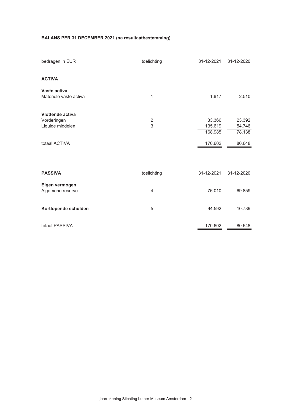## **BALANS PER 31 DECEMBER 2021 (na resultaatbestemming)**

| bedragen in EUR                                     | toelichting     | 31-12-2021                   | 31-12-2020                 |
|-----------------------------------------------------|-----------------|------------------------------|----------------------------|
| <b>ACTIVA</b>                                       |                 |                              |                            |
| Vaste activa<br>Materiële vaste activa              | 1               | 1.617                        | 2.510                      |
| Vlottende activa<br>Vorderingen<br>Liquide middelen | $\sqrt{2}$<br>3 | 33.366<br>135.619<br>168.985 | 23.392<br>54.746<br>78.138 |
| totaal ACTIVA                                       |                 | 170.602                      | 80.648                     |
|                                                     |                 |                              |                            |
| <b>PASSIVA</b>                                      | toelichting     | 31-12-2021                   | 31-12-2020                 |
| Eigen vermogen<br>Algemene reserve                  | 4               | 76.010                       | 69.859                     |
| Kortlopende schulden                                | 5               | 94.592                       | 10.789                     |
| totaal PASSIVA                                      |                 | 170.602                      | 80.648                     |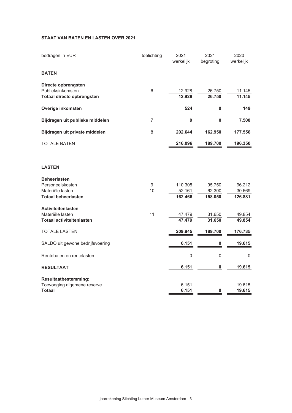## STAAT VAN BATEN EN LASTEN OVER 2021

| bedragen in EUR                                                                           | toelichting            | 2021<br>werkelijk            | 2021<br>begroting           | 2020<br>werkelijk           |
|-------------------------------------------------------------------------------------------|------------------------|------------------------------|-----------------------------|-----------------------------|
| <b>BATEN</b>                                                                              |                        |                              |                             |                             |
| Directe opbrengsten<br>Publieksinkomsten<br>Totaal directe opbrengsten                    | 6                      | 12.928<br>12.928             | 26.750<br>26.750            | 11.145<br>11.145            |
| Overige inkomsten                                                                         |                        | 524                          | $\bf{0}$                    | 149                         |
| Bijdragen uit publieke middelen                                                           | 7                      | 0                            | $\bf{0}$                    | 7.500                       |
| Bijdragen uit private middelen                                                            | 8                      | 202.644                      | 162.950                     | 177.556                     |
| <b>TOTALE BATEN</b>                                                                       |                        | 216.096                      | 189.700                     | 196.350                     |
|                                                                                           |                        |                              |                             |                             |
| <b>LASTEN</b>                                                                             |                        |                              |                             |                             |
| <b>Beheerlasten</b><br>Personeelskosten<br>Materiële lasten<br><b>Totaal beheerlasten</b> | $\boldsymbol{9}$<br>10 | 110.305<br>52.161<br>162.466 | 95.750<br>62.300<br>158.050 | 96.212<br>30.669<br>126.881 |
| <b>Activiteitenlasten</b><br>Materiële lasten<br><b>Totaal activiteitenlasten</b>         | 11                     | 47.479<br>47.479             | 31.650<br>31.650            | 49.854<br>49.854            |
| <b>TOTALE LASTEN</b>                                                                      |                        | 209.945                      | 189.700                     | 176.735                     |
| SALDO uit gewone bedrijfsvoering                                                          |                        | 6.151                        | 0                           | 19.615                      |
| Rentebaten en rentelasten                                                                 |                        | $\mathbf 0$                  | $\mathbf 0$                 | 0                           |
| <b>RESULTAAT</b>                                                                          |                        | 6.151                        | $\bf{0}$                    | 19.615                      |
| <b>Resultaatbestemming:</b><br>Toevoeging algemene reserve<br><b>Totaal</b>               |                        | 6.151<br>6.151               | $\bf{0}$                    | 19.615<br>19.615            |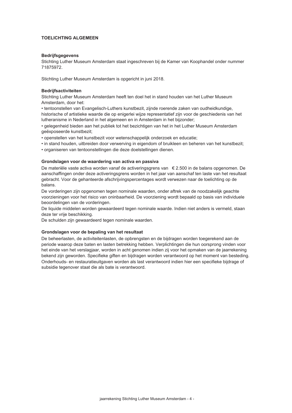#### **TOFLICHTING ALGEMEEN**

#### **Bedrijfsgegevens**

Stichting Luther Museum Amsterdam staat ingeschreven bij de Kamer van Koophandel onder nummer 71875972.

Stichting Luther Museum Amsterdam is opgericht in juni 2018.

#### **Bedrijfsactiviteiten**

Stichting Luther Museum Amsterdam heeft ten doel het in stand houden van het Luther Museum Amsterdam, door het:

• tentoonstellen van Evangelisch-Luthers kunstbezit, zijnde roerende zaken van oudheidkundige, historische of artistieke waarde die op enigerlei wijze representatief zijn voor de geschiedenis van het lutheranisme in Nederland in het algemeen en in Amsterdam in het bijzonder;

• gelegenheid bieden aan het publiek tot het bezichtigen van het in het Luther Museum Amsterdam geëxposeerde kunstbezit;

- openstellen van het kunstbezit voor wetenschappelijk onderzoek en educatie:
- in stand houden, uitbreiden door verwerving in eigendom of bruikleen en beheren van het kunstbezit:

• organiseren van tentoonstellingen die deze doelstellingen dienen.

#### Grondslagen voor de waardering van activa en passiva

De materiële vaste activa worden vanaf de activeringsgrens van € 2.500 in de balans opgenomen. De aanschaffingen onder deze activeringsgrens worden in het jaar van aanschaf ten laste van het resultaat gebracht. Voor de gehanteerde afschrijvingspercentages wordt verwezen naar de toelichting op de balans.

De vorderingen zijn opgenomen tegen nominale waarden, onder aftrek van de noodzakelijk geachte voorzieningen voor het risico van oninbaarheid. De voorziening wordt bepaald op basis van individuele beoordelingen van de vorderingen.

De liquide middelen worden gewaardeerd tegen nominale waarde. Indien niet anders is vermeld, staan deze ter vrije beschikking.

De schulden zijn gewaardeerd tegen nominale waarden.

#### Grondslagen voor de bepaling van het resultaat

De beheerlasten, de activiteitenlasten, de opbrengsten en de bijdragen worden toegerekend aan de periode waarop deze baten en lasten betrekking hebben. Verplichtingen die hun oorsprong vinden voor het einde van het verslagjaar, worden in acht genomen indien zij voor het opmaken van de jaarrekening bekend zijn geworden. Specifieke giften en bijdragen worden verantwoord op het moment van besteding. Onderhouds- en restauratieuitgaven worden als last verantwoord indien hier een specifieke bijdrage of subsidie tegenover staat die als bate is verantwoord.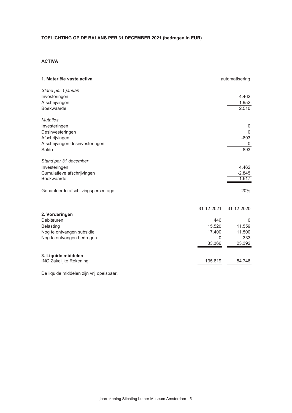# TOELICHTING OP DE BALANS PER 31 DECEMBER 2021 (bedragen in EUR)

## **ACTIVA**

| 1. Materiële vaste activa                                                                                          |                                        | automatisering                         |
|--------------------------------------------------------------------------------------------------------------------|----------------------------------------|----------------------------------------|
| Stand per 1 januari<br>Investeringen<br>Afschrijvingen<br>Boekwaarde                                               |                                        | 4.462<br>$-1.952$<br>2.510             |
| <b>Mutaties</b><br>Investeringen<br>Desinvesteringen<br>Afschrijvingen<br>Afschrijvingen desinvesteringen<br>Saldo |                                        | 0<br>$\Omega$<br>$-893$<br>0<br>$-893$ |
| Stand per 31 december<br>Investeringen<br>Cumulatieve afschrijvingen<br>Boekwaarde                                 |                                        | 4.462<br>$-2.845$<br>1.617             |
| Gehanteerde afschijvingspercentage                                                                                 |                                        | 20%                                    |
| 2. Vorderingen                                                                                                     | 31-12-2021                             | 31-12-2020                             |
| Debiteuren<br><b>Belasting</b><br>Nog te ontvangen subsidie<br>Nog te ontvangen bedragen                           | 446<br>15.520<br>17.400<br>0<br>33.366 | 0<br>11.559<br>11.500<br>333<br>23.392 |
| 3. Liquide middelen<br><b>ING Zakelijke Rekening</b>                                                               | 135.619                                | 54.746                                 |

De liquide middelen zijn vrij opeisbaar.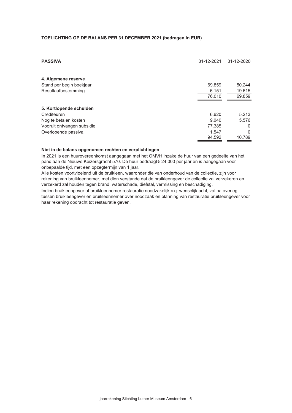#### TOELICHTING OP DE BALANS PER 31 DECEMBER 2021 (bedragen in EUR)

| <b>PASSIVA</b>             | 31-12-2021 | 31-12-2020 |
|----------------------------|------------|------------|
| 4. Algemene reserve        |            |            |
| Stand per begin boekjaar   | 69.859     | 50.244     |
| Resultaatbestemming        | 6.151      | 19.615     |
|                            | 76.010     | 69.859     |
|                            |            |            |
| 5. Kortlopende schulden    |            |            |
| Crediteuren                | 6.620      | 5.213      |
| Nog te betalen kosten      | 9.040      | 5.576      |
| Vooruit ontvangen subsidie | 77.385     | 0          |
| Overlopende passiva        | 1.547      | $\Omega$   |
|                            | 94.592     | 10.789     |

#### Niet in de balans opgenomen rechten en verplichtingen

In 2021 is een huurovereenkomst aangegaan met het OMVH inzake de huur van een gedeelte van het pand aan de Nieuwe Keizersgracht 570. De huur bedraagt€ 24.000 per jaar en is aangegaan voor onbepaalde tijd, met een opzegtermijn van 1 jaar.

Alle kosten voortvloeiend uit de bruikleen, waaronder die van onderhoud van de collectie, zijn voor rekening van bruikleennemer, met dien verstande dat de bruikleengever de collectie zal verzekeren en verzekerd zal houden tegen brand, waterschade, diefstal, vermissing en beschadiging.

Indien bruikleengever of bruikleennemer restauratie noodzakelijk c.g. wenselijk acht, zal na overleg tussen bruikleengever en bruikleennemer over noodzaak en planning van restauratie bruikleengever voor haar rekening opdracht tot restauratie geven.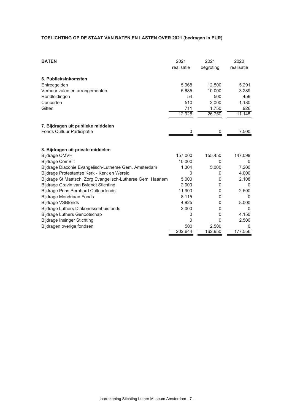# TOELICHTING OP DE STAAT VAN BATEN EN LASTEN OVER 2021 (bedragen in EUR)

| <b>BATEN</b>                                                 | 2021       | 2021      | 2020       |
|--------------------------------------------------------------|------------|-----------|------------|
|                                                              | realisatie | begroting | realisatie |
| 6. Publieksinkomsten                                         |            |           |            |
| Entreegelden                                                 | 5.968      | 12.500    | 5.291      |
| Verhuur zalen en arrangementen                               | 5.685      | 10.000    | 3.289      |
| Rondleidingen                                                | 54         | 500       | 459        |
| Concerten                                                    | 510        | 2.000     | 1.180      |
| Giften                                                       | 711        | 1.750     | 926        |
|                                                              | 12.928     | 26.750    | 11.145     |
|                                                              |            |           |            |
| 7. Bijdragen uit publieke middelen                           |            |           |            |
| Fonds Cultuur Participatie                                   |            | 0         | 7.500      |
|                                                              |            |           |            |
| 8. Bijdragen uit private middelen                            |            |           |            |
| <b>Bijdrage OMVH</b>                                         | 157.000    | 155.450   | 147.098    |
| <b>Bijdrage ComBilt</b>                                      | 10.000     | $\Omega$  | 0          |
| Bijdrage Diaconie Evangelisch-Lutherse Gem. Amsterdam        | 1.304      | 5.000     | 7.200      |
| Bijdrage Protestantse Kerk - Kerk en Wereld                  | 0          | 0         | 4.000      |
| Bijdrage St. Maatsch. Zorg Evangelisch-Lutherse Gem. Haarlem | 5.000      | 0         | 2.108      |
| Bijdrage Gravin van Bylandt Stichting                        | 2.000      | 0         | $\Omega$   |
| <b>Bijdrage Prins Bernhard Cultuurfonds</b>                  | 11.900     | 0         | 2.500      |
| Bijdrage Mondriaan Fonds                                     | 8.115      | 0         | $\Omega$   |
| <b>Bijdrage VSBfonds</b>                                     | 4.825      | 0         | 8.000      |
| Bijdrage Luthers Diakonessenhuisfonds                        | 2.000      | 0         | $\Omega$   |
| <b>Bijdrage Luthers Genootschap</b>                          | 0          | 0         | 4.150      |
| <b>Bijdrage Insinger Stichting</b>                           | 0          | 0         | 2.500      |
| Bijdragen overige fondsen                                    | 500        | 2.500     | 0          |
|                                                              | 202.644    | 162.950   | 177.556    |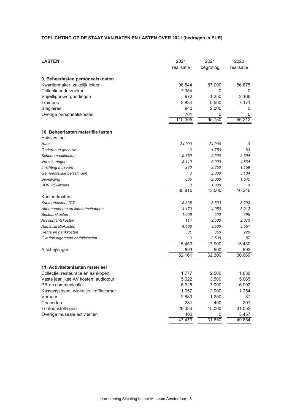# TOELICHTING OP DE STAAT VAN BATEN EN LASTEN OVER 2021 (bedragen in EUR)

| 9. Beheerlasten personeelskosten<br>96.544<br>87.000<br>86.875<br>Kwartiermaker, zakelijk leider<br>Collectieonderzoeker<br>7.354<br>0<br>0<br>972<br>1.250<br>2.166<br>Vrijwilligersvergoedingen<br>3.834<br>5.500<br>7.171<br>Trainees<br>840<br>2.000<br>Stagiaires<br>0<br>761<br>Overige personeelskosten<br>0<br>0<br>96.212<br>110.305<br>95.750<br>10. Beheerlasten materiële lasten<br>Huisvesting<br>24.000<br>24.000<br>Huur<br>0<br>Onderhoud gebouw<br>1.750<br>0<br>80<br>Schoonmaakkosten<br>5.760<br>5.500<br>5.594<br>5.110<br>5.000<br>4.834<br>Verzekeringen<br>280<br>2.250<br>1.159<br>Inrichting museum<br>2.000<br>3.134<br>Gemeentelijke belastingen<br>0<br>665<br>2.000<br>1.545<br><b>Beveiliging</b><br><b>BHV</b> vrijwilligers<br>1.000<br>0<br>0<br>35.815<br>43.500<br>16.346<br>Kantoorkosten<br>Kantoorkosten, ICT<br>5.336<br>3.500<br>3.292<br>4.170<br>4.050<br>3.212<br>Abonnementen en lidmaatschappen<br>Bestuurskosten<br>1.036<br>500<br>395<br>114<br>2.500<br>2.673<br>Accountantskosten<br>Administratiekosten<br>4.466<br>3.500<br>3.551<br>Rente en bankkosten<br>331<br>350<br>220<br>Overige algemene bedrijfslasten<br>0<br>3.500<br>87<br>15.453<br>17.900<br>13.430<br>Afschrijvingen<br>893<br>900<br>893<br>52.161<br>62.300<br>30.669<br>11. Activiteitenlasten materieel<br>2.500<br>1.830<br>Collectie: restauratie en aankopen<br>1.777<br>Vaste jaarlijkse AV kosten, audiotour<br>5.022<br>3.500<br>5.065<br>PR en communicatie<br>6.325<br>7.000<br>6.902<br>Kassasysteem, winkeltje, koffiecorner<br>1.957<br>2.000<br>1.254<br>Verhuur<br>2.683<br>1.250<br>87<br>Concerten<br>231<br>400<br>207<br>29.084<br>Tentoonstellingen<br>15.000<br>31.052<br>Overige museale activiteiten<br>400<br>3.457<br>0<br>31.650<br>47.479<br>49.854 | <b>LASTEN</b> | 2021<br>realisatie | 2021<br>begroting | 2020<br>realisatie |
|-------------------------------------------------------------------------------------------------------------------------------------------------------------------------------------------------------------------------------------------------------------------------------------------------------------------------------------------------------------------------------------------------------------------------------------------------------------------------------------------------------------------------------------------------------------------------------------------------------------------------------------------------------------------------------------------------------------------------------------------------------------------------------------------------------------------------------------------------------------------------------------------------------------------------------------------------------------------------------------------------------------------------------------------------------------------------------------------------------------------------------------------------------------------------------------------------------------------------------------------------------------------------------------------------------------------------------------------------------------------------------------------------------------------------------------------------------------------------------------------------------------------------------------------------------------------------------------------------------------------------------------------------------------------------------------------------------------------------------------------------------------------------------------------------------|---------------|--------------------|-------------------|--------------------|
|                                                                                                                                                                                                                                                                                                                                                                                                                                                                                                                                                                                                                                                                                                                                                                                                                                                                                                                                                                                                                                                                                                                                                                                                                                                                                                                                                                                                                                                                                                                                                                                                                                                                                                                                                                                                       |               |                    |                   |                    |
|                                                                                                                                                                                                                                                                                                                                                                                                                                                                                                                                                                                                                                                                                                                                                                                                                                                                                                                                                                                                                                                                                                                                                                                                                                                                                                                                                                                                                                                                                                                                                                                                                                                                                                                                                                                                       |               |                    |                   |                    |
|                                                                                                                                                                                                                                                                                                                                                                                                                                                                                                                                                                                                                                                                                                                                                                                                                                                                                                                                                                                                                                                                                                                                                                                                                                                                                                                                                                                                                                                                                                                                                                                                                                                                                                                                                                                                       |               |                    |                   |                    |
|                                                                                                                                                                                                                                                                                                                                                                                                                                                                                                                                                                                                                                                                                                                                                                                                                                                                                                                                                                                                                                                                                                                                                                                                                                                                                                                                                                                                                                                                                                                                                                                                                                                                                                                                                                                                       |               |                    |                   |                    |
|                                                                                                                                                                                                                                                                                                                                                                                                                                                                                                                                                                                                                                                                                                                                                                                                                                                                                                                                                                                                                                                                                                                                                                                                                                                                                                                                                                                                                                                                                                                                                                                                                                                                                                                                                                                                       |               |                    |                   |                    |
|                                                                                                                                                                                                                                                                                                                                                                                                                                                                                                                                                                                                                                                                                                                                                                                                                                                                                                                                                                                                                                                                                                                                                                                                                                                                                                                                                                                                                                                                                                                                                                                                                                                                                                                                                                                                       |               |                    |                   |                    |
|                                                                                                                                                                                                                                                                                                                                                                                                                                                                                                                                                                                                                                                                                                                                                                                                                                                                                                                                                                                                                                                                                                                                                                                                                                                                                                                                                                                                                                                                                                                                                                                                                                                                                                                                                                                                       |               |                    |                   |                    |
|                                                                                                                                                                                                                                                                                                                                                                                                                                                                                                                                                                                                                                                                                                                                                                                                                                                                                                                                                                                                                                                                                                                                                                                                                                                                                                                                                                                                                                                                                                                                                                                                                                                                                                                                                                                                       |               |                    |                   |                    |
|                                                                                                                                                                                                                                                                                                                                                                                                                                                                                                                                                                                                                                                                                                                                                                                                                                                                                                                                                                                                                                                                                                                                                                                                                                                                                                                                                                                                                                                                                                                                                                                                                                                                                                                                                                                                       |               |                    |                   |                    |
|                                                                                                                                                                                                                                                                                                                                                                                                                                                                                                                                                                                                                                                                                                                                                                                                                                                                                                                                                                                                                                                                                                                                                                                                                                                                                                                                                                                                                                                                                                                                                                                                                                                                                                                                                                                                       |               |                    |                   |                    |
|                                                                                                                                                                                                                                                                                                                                                                                                                                                                                                                                                                                                                                                                                                                                                                                                                                                                                                                                                                                                                                                                                                                                                                                                                                                                                                                                                                                                                                                                                                                                                                                                                                                                                                                                                                                                       |               |                    |                   |                    |
|                                                                                                                                                                                                                                                                                                                                                                                                                                                                                                                                                                                                                                                                                                                                                                                                                                                                                                                                                                                                                                                                                                                                                                                                                                                                                                                                                                                                                                                                                                                                                                                                                                                                                                                                                                                                       |               |                    |                   |                    |
|                                                                                                                                                                                                                                                                                                                                                                                                                                                                                                                                                                                                                                                                                                                                                                                                                                                                                                                                                                                                                                                                                                                                                                                                                                                                                                                                                                                                                                                                                                                                                                                                                                                                                                                                                                                                       |               |                    |                   |                    |
|                                                                                                                                                                                                                                                                                                                                                                                                                                                                                                                                                                                                                                                                                                                                                                                                                                                                                                                                                                                                                                                                                                                                                                                                                                                                                                                                                                                                                                                                                                                                                                                                                                                                                                                                                                                                       |               |                    |                   |                    |
|                                                                                                                                                                                                                                                                                                                                                                                                                                                                                                                                                                                                                                                                                                                                                                                                                                                                                                                                                                                                                                                                                                                                                                                                                                                                                                                                                                                                                                                                                                                                                                                                                                                                                                                                                                                                       |               |                    |                   |                    |
|                                                                                                                                                                                                                                                                                                                                                                                                                                                                                                                                                                                                                                                                                                                                                                                                                                                                                                                                                                                                                                                                                                                                                                                                                                                                                                                                                                                                                                                                                                                                                                                                                                                                                                                                                                                                       |               |                    |                   |                    |
|                                                                                                                                                                                                                                                                                                                                                                                                                                                                                                                                                                                                                                                                                                                                                                                                                                                                                                                                                                                                                                                                                                                                                                                                                                                                                                                                                                                                                                                                                                                                                                                                                                                                                                                                                                                                       |               |                    |                   |                    |
|                                                                                                                                                                                                                                                                                                                                                                                                                                                                                                                                                                                                                                                                                                                                                                                                                                                                                                                                                                                                                                                                                                                                                                                                                                                                                                                                                                                                                                                                                                                                                                                                                                                                                                                                                                                                       |               |                    |                   |                    |
|                                                                                                                                                                                                                                                                                                                                                                                                                                                                                                                                                                                                                                                                                                                                                                                                                                                                                                                                                                                                                                                                                                                                                                                                                                                                                                                                                                                                                                                                                                                                                                                                                                                                                                                                                                                                       |               |                    |                   |                    |
|                                                                                                                                                                                                                                                                                                                                                                                                                                                                                                                                                                                                                                                                                                                                                                                                                                                                                                                                                                                                                                                                                                                                                                                                                                                                                                                                                                                                                                                                                                                                                                                                                                                                                                                                                                                                       |               |                    |                   |                    |
|                                                                                                                                                                                                                                                                                                                                                                                                                                                                                                                                                                                                                                                                                                                                                                                                                                                                                                                                                                                                                                                                                                                                                                                                                                                                                                                                                                                                                                                                                                                                                                                                                                                                                                                                                                                                       |               |                    |                   |                    |
|                                                                                                                                                                                                                                                                                                                                                                                                                                                                                                                                                                                                                                                                                                                                                                                                                                                                                                                                                                                                                                                                                                                                                                                                                                                                                                                                                                                                                                                                                                                                                                                                                                                                                                                                                                                                       |               |                    |                   |                    |
|                                                                                                                                                                                                                                                                                                                                                                                                                                                                                                                                                                                                                                                                                                                                                                                                                                                                                                                                                                                                                                                                                                                                                                                                                                                                                                                                                                                                                                                                                                                                                                                                                                                                                                                                                                                                       |               |                    |                   |                    |
|                                                                                                                                                                                                                                                                                                                                                                                                                                                                                                                                                                                                                                                                                                                                                                                                                                                                                                                                                                                                                                                                                                                                                                                                                                                                                                                                                                                                                                                                                                                                                                                                                                                                                                                                                                                                       |               |                    |                   |                    |
|                                                                                                                                                                                                                                                                                                                                                                                                                                                                                                                                                                                                                                                                                                                                                                                                                                                                                                                                                                                                                                                                                                                                                                                                                                                                                                                                                                                                                                                                                                                                                                                                                                                                                                                                                                                                       |               |                    |                   |                    |
|                                                                                                                                                                                                                                                                                                                                                                                                                                                                                                                                                                                                                                                                                                                                                                                                                                                                                                                                                                                                                                                                                                                                                                                                                                                                                                                                                                                                                                                                                                                                                                                                                                                                                                                                                                                                       |               |                    |                   |                    |
|                                                                                                                                                                                                                                                                                                                                                                                                                                                                                                                                                                                                                                                                                                                                                                                                                                                                                                                                                                                                                                                                                                                                                                                                                                                                                                                                                                                                                                                                                                                                                                                                                                                                                                                                                                                                       |               |                    |                   |                    |
|                                                                                                                                                                                                                                                                                                                                                                                                                                                                                                                                                                                                                                                                                                                                                                                                                                                                                                                                                                                                                                                                                                                                                                                                                                                                                                                                                                                                                                                                                                                                                                                                                                                                                                                                                                                                       |               |                    |                   |                    |
|                                                                                                                                                                                                                                                                                                                                                                                                                                                                                                                                                                                                                                                                                                                                                                                                                                                                                                                                                                                                                                                                                                                                                                                                                                                                                                                                                                                                                                                                                                                                                                                                                                                                                                                                                                                                       |               |                    |                   |                    |
|                                                                                                                                                                                                                                                                                                                                                                                                                                                                                                                                                                                                                                                                                                                                                                                                                                                                                                                                                                                                                                                                                                                                                                                                                                                                                                                                                                                                                                                                                                                                                                                                                                                                                                                                                                                                       |               |                    |                   |                    |
|                                                                                                                                                                                                                                                                                                                                                                                                                                                                                                                                                                                                                                                                                                                                                                                                                                                                                                                                                                                                                                                                                                                                                                                                                                                                                                                                                                                                                                                                                                                                                                                                                                                                                                                                                                                                       |               |                    |                   |                    |
|                                                                                                                                                                                                                                                                                                                                                                                                                                                                                                                                                                                                                                                                                                                                                                                                                                                                                                                                                                                                                                                                                                                                                                                                                                                                                                                                                                                                                                                                                                                                                                                                                                                                                                                                                                                                       |               |                    |                   |                    |
|                                                                                                                                                                                                                                                                                                                                                                                                                                                                                                                                                                                                                                                                                                                                                                                                                                                                                                                                                                                                                                                                                                                                                                                                                                                                                                                                                                                                                                                                                                                                                                                                                                                                                                                                                                                                       |               |                    |                   |                    |
|                                                                                                                                                                                                                                                                                                                                                                                                                                                                                                                                                                                                                                                                                                                                                                                                                                                                                                                                                                                                                                                                                                                                                                                                                                                                                                                                                                                                                                                                                                                                                                                                                                                                                                                                                                                                       |               |                    |                   |                    |
|                                                                                                                                                                                                                                                                                                                                                                                                                                                                                                                                                                                                                                                                                                                                                                                                                                                                                                                                                                                                                                                                                                                                                                                                                                                                                                                                                                                                                                                                                                                                                                                                                                                                                                                                                                                                       |               |                    |                   |                    |
|                                                                                                                                                                                                                                                                                                                                                                                                                                                                                                                                                                                                                                                                                                                                                                                                                                                                                                                                                                                                                                                                                                                                                                                                                                                                                                                                                                                                                                                                                                                                                                                                                                                                                                                                                                                                       |               |                    |                   |                    |
|                                                                                                                                                                                                                                                                                                                                                                                                                                                                                                                                                                                                                                                                                                                                                                                                                                                                                                                                                                                                                                                                                                                                                                                                                                                                                                                                                                                                                                                                                                                                                                                                                                                                                                                                                                                                       |               |                    |                   |                    |
|                                                                                                                                                                                                                                                                                                                                                                                                                                                                                                                                                                                                                                                                                                                                                                                                                                                                                                                                                                                                                                                                                                                                                                                                                                                                                                                                                                                                                                                                                                                                                                                                                                                                                                                                                                                                       |               |                    |                   |                    |
|                                                                                                                                                                                                                                                                                                                                                                                                                                                                                                                                                                                                                                                                                                                                                                                                                                                                                                                                                                                                                                                                                                                                                                                                                                                                                                                                                                                                                                                                                                                                                                                                                                                                                                                                                                                                       |               |                    |                   |                    |
|                                                                                                                                                                                                                                                                                                                                                                                                                                                                                                                                                                                                                                                                                                                                                                                                                                                                                                                                                                                                                                                                                                                                                                                                                                                                                                                                                                                                                                                                                                                                                                                                                                                                                                                                                                                                       |               |                    |                   |                    |